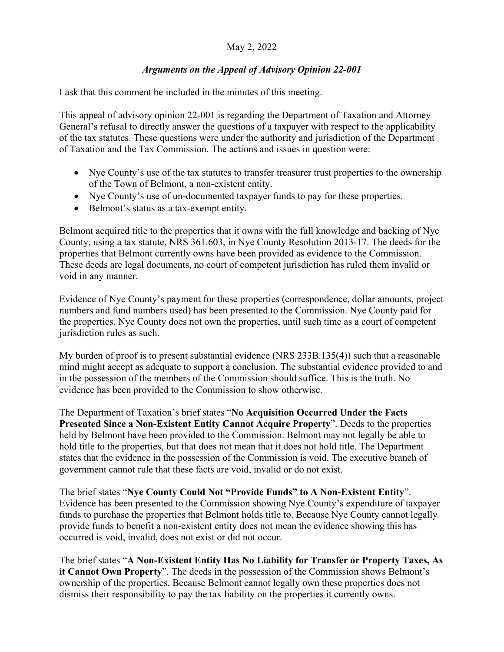## May 2, 2022

## *Arguments on the Appeal of Advisory Opinion 22-001*

I ask that this comment be included in the minutes of this meeting.

This appeal of advisory opinion 22-001 is regarding the Department of Taxation and Attorney General's refusal to directly answer the questions of a taxpayer with respect to the applicability of the tax statutes. These questions were under the authority and jurisdiction of the Department of Taxation and the Tax Commission. The actions and issues in question were:

- Nye County's use of the tax statutes to transfer treasurer trust properties to the ownership of the Town of Belmont, a non-existent entity.
- Nye County's use of un-documented taxpayer funds to pay for these properties.
- Belmont's status as a tax-exempt entity.

Belmont acquired title to the properties that it owns with the full knowledge and backing of Nye County, using a tax statute, NRS 361.603, in Nye County Resolution 2013-17. The deeds for the properties that Belmont currently owns have been provided as evidence to the Commission. These deeds are legal documents, no court of competent jurisdiction has ruled them invalid or void in any manner.

Evidence of Nye County's payment for these properties (correspondence, dollar amounts, project numbers and fund numbers used) has been presented to the Commission. Nye County paid for the properties. Nye County does not own the properties, until such time as a court of competent jurisdiction rules as such.

My burden of proof is to present substantial evidence (NRS 233B.135(4)) such that a reasonable mind might accept as adequate to support a conclusion. The substantial evidence provided to and in the possession of the members of the Commission should suffice. This is the truth. No evidence has been provided to the Commission to show otherwise.

The Department of Taxation's brief states "**No Acquisition Occurred Under the Facts Presented Since a Non-Existent Entity Cannot Acquire Property**". Deeds to the properties held by Belmont have been provided to the Commission. Belmont may not legally be able to hold title to the properties, but that does not mean that it does not hold title. The Department states that the evidence in the possession of the Commission is void. The executive branch of government cannot rule that these facts are void, invalid or do not exist.

The brief states "**Nye County Could Not "Provide Funds" to A Non-Existent Entity**". Evidence has been presented to the Commission showing Nye County's expenditure of taxpayer funds to purchase the properties that Belmont holds title to. Because Nye County cannot legally provide funds to benefit a non-existent entity does not mean the evidence showing this has occurred is void, invalid, does not exist or did not occur.

The brief states "**A Non-Existent Entity Has No Liability for Transfer or Property Taxes, As it Cannot Own Property**". The deeds in the possession of the Commission shows Belmont's ownership of the properties. Because Belmont cannot legally own these properties does not dismiss their responsibility to pay the tax liability on the properties it currently owns.